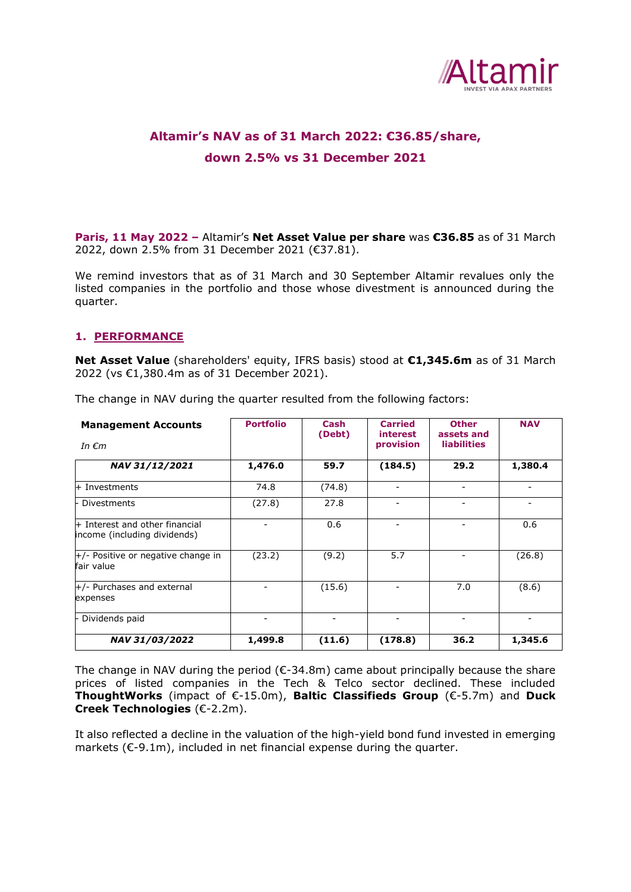

# **Altamir's NAV as of 31 March 2022: €36.85/share, down 2.5% vs 31 December 2021**

**Paris, 11 May 2022 –** Altamir's **Net Asset Value per share** was **€36.85** as of 31 March 2022, down 2.5% from 31 December 2021 (€37.81).

We remind investors that as of 31 March and 30 September Altamir revalues only the listed companies in the portfolio and those whose divestment is announced during the quarter.

#### **1. PERFORMANCE**

**Net Asset Value** (shareholders' equity, IFRS basis) stood at **€1,345.6m** as of 31 March 2022 (vs €1,380.4m as of 31 December 2021).

| <b>Management Accounts</b><br>In $\epsilon$ m                  | <b>Portfolio</b> | Cash<br>(Debt) | <b>Carried</b><br>interest<br>provision | <b>Other</b><br>assets and<br><b>liabilities</b> | <b>NAV</b> |
|----------------------------------------------------------------|------------------|----------------|-----------------------------------------|--------------------------------------------------|------------|
| NAV 31/12/2021                                                 | 1,476.0          | 59.7           | (184.5)                                 | 29.2                                             | 1,380.4    |
| + Investments                                                  | 74.8             | (74.8)         | $\overline{\phantom{a}}$                | -                                                |            |
| <b>Divestments</b>                                             | (27.8)           | 27.8           | $\qquad \qquad \blacksquare$            | ۰                                                |            |
| + Interest and other financial<br>income (including dividends) |                  | 0.6            | $\overline{\phantom{a}}$                | -                                                | 0.6        |
| $+/-$ Positive or negative change in<br>fair value             | (23.2)           | (9.2)          | 5.7                                     | ۰                                                | (26.8)     |
| $+/-$ Purchases and external<br>expenses                       |                  | (15.6)         | $\overline{\phantom{a}}$                | 7.0                                              | (8.6)      |
| Dividends paid                                                 |                  |                | $\overline{\phantom{a}}$                | -                                                |            |
| NAV 31/03/2022                                                 | 1,499.8          | (11.6)         | (178.8)                                 | 36.2                                             | 1,345.6    |

The change in NAV during the quarter resulted from the following factors:

The change in NAV during the period ( $\epsilon$ -34.8m) came about principally because the share prices of listed companies in the Tech & Telco sector declined. These included **ThoughtWorks** (impact of €-15.0m), **Baltic Classifieds Group** (€-5.7m) and **Duck Creek Technologies** (€-2.2m).

It also reflected a decline in the valuation of the high-yield bond fund invested in emerging markets (€-9.1m), included in net financial expense during the quarter.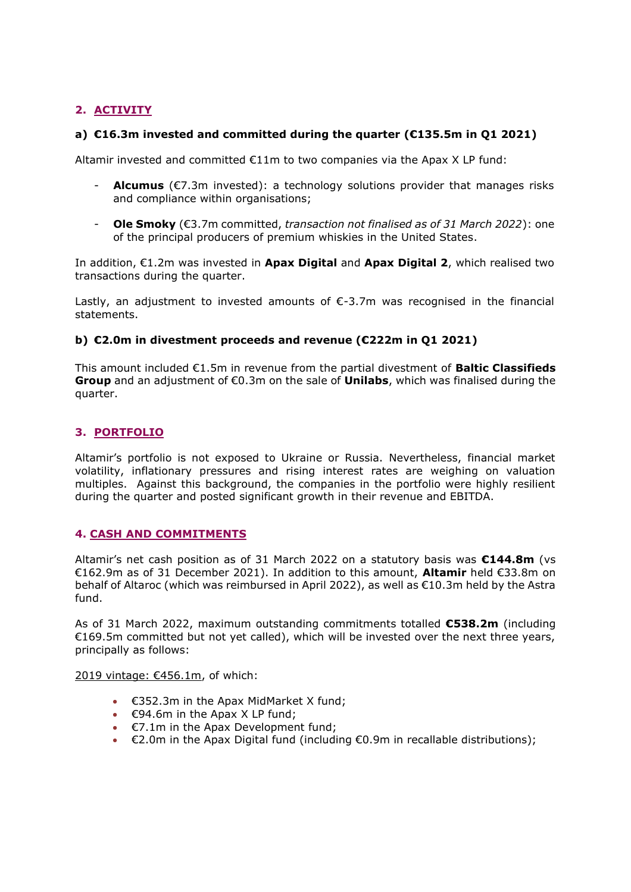# **2. ACTIVITY**

## **a) €16.3m invested and committed during the quarter (€135.5m in Q1 2021)**

Altamir invested and committed €11m to two companies via the Apax X LP fund:

- **Alcumus** (€7.3m invested): a technology solutions provider that manages risks and compliance within organisations;
- **Ole Smoky** (€3.7m committed, *transaction not finalised as of 31 March 2022*): one of the principal producers of premium whiskies in the United States.

In addition, €1.2m was invested in **Apax Digital** and **Apax Digital 2**, which realised two transactions during the quarter.

Lastly, an adjustment to invested amounts of  $\epsilon$ -3.7m was recognised in the financial statements.

## **b) €2.0m in divestment proceeds and revenue (€222m in Q1 2021)**

This amount included €1.5m in revenue from the partial divestment of **Baltic Classifieds Group** and an adjustment of €0.3m on the sale of **Unilabs**, which was finalised during the quarter.

## **3. PORTFOLIO**

Altamir's portfolio is not exposed to Ukraine or Russia. Nevertheless, financial market volatility, inflationary pressures and rising interest rates are weighing on valuation multiples. Against this background, the companies in the portfolio were highly resilient during the quarter and posted significant growth in their revenue and EBITDA.

#### **4. CASH AND COMMITMENTS**

Altamir's net cash position as of 31 March 2022 on a statutory basis was **€144.8m** (vs €162.9m as of 31 December 2021). In addition to this amount, **Altamir** held €33.8m on behalf of Altaroc (which was reimbursed in April 2022), as well as €10.3m held by the Astra fund.

As of 31 March 2022, maximum outstanding commitments totalled **€538.2m** (including €169.5m committed but not yet called), which will be invested over the next three years, principally as follows:

2019 vintage: €456.1m, of which:

- €352.3m in the Apax MidMarket X fund;
- $\epsilon$ 94.6m in the Apax X LP fund;
- €7.1m in the Apax Development fund;
- $\epsilon$ 2.0m in the Apax Digital fund (including  $\epsilon$ 0.9m in recallable distributions);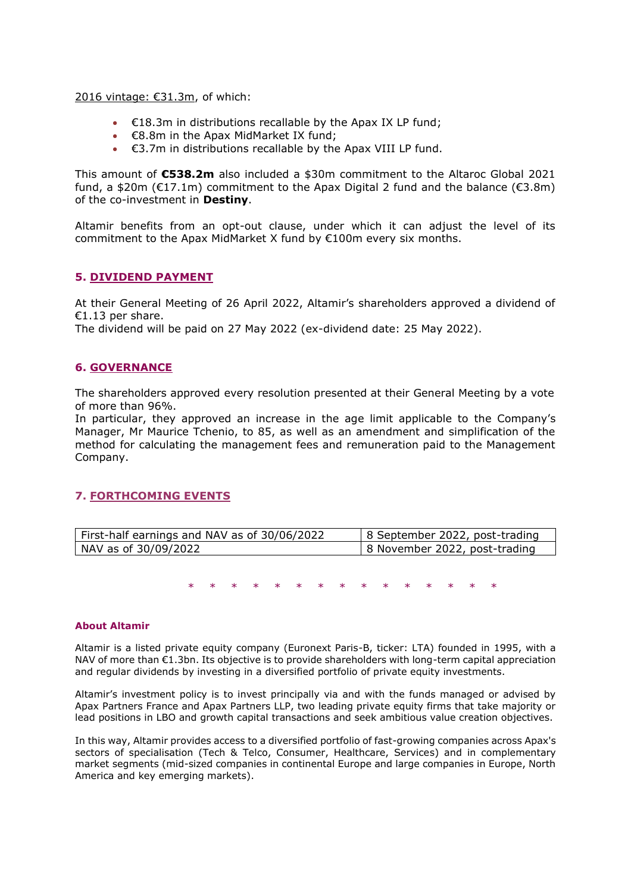2016 vintage: €31.3m, of which:

- $\cdot$   $\in$  18.3m in distributions recallable by the Apax IX LP fund;
- €8.8m in the Apax MidMarket IX fund;
- €3.7m in distributions recallable by the Apax VIII LP fund.

This amount of **€538.2m** also included a \$30m commitment to the Altaroc Global 2021 fund, a \$20m ( $E17.1m$ ) commitment to the Apax Digital 2 fund and the balance ( $E3.8m$ ) of the co-investment in **Destiny**.

Altamir benefits from an opt-out clause, under which it can adjust the level of its commitment to the Apax MidMarket X fund by €100m every six months.

#### **5. DIVIDEND PAYMENT**

At their General Meeting of 26 April 2022, Altamir's shareholders approved a dividend of €1.13 per share.

The dividend will be paid on 27 May 2022 (ex-dividend date: 25 May 2022).

#### **6. GOVERNANCE**

The shareholders approved every resolution presented at their General Meeting by a vote of more than 96%.

In particular, they approved an increase in the age limit applicable to the Company's Manager, Mr Maurice Tchenio, to 85, as well as an amendment and simplification of the method for calculating the management fees and remuneration paid to the Management Company.

#### **7. FORTHCOMING EVENTS**

| First-half earnings and NAV as of 30/06/2022 | 8 September 2022, post-trading |
|----------------------------------------------|--------------------------------|
| NAV as of 30/09/2022                         | 8 November 2022, post-trading  |

\* \* \* \* \* \* \* \* \* \* \* \* \* \* \*

#### **About Altamir**

Altamir is a listed private equity company (Euronext Paris-B, ticker: LTA) founded in 1995, with a NAV of more than €1.3bn. Its objective is to provide shareholders with long-term capital appreciation and regular dividends by investing in a diversified portfolio of private equity investments.

Altamir's investment policy is to invest principally via and with the funds managed or advised by Apax Partners France and Apax Partners LLP, two leading private equity firms that take majority or lead positions in LBO and growth capital transactions and seek ambitious value creation objectives.

In this way, Altamir provides access to a diversified portfolio of fast-growing companies across Apax's sectors of specialisation (Tech & Telco, Consumer, Healthcare, Services) and in complementary market segments (mid-sized companies in continental Europe and large companies in Europe, North America and key emerging markets).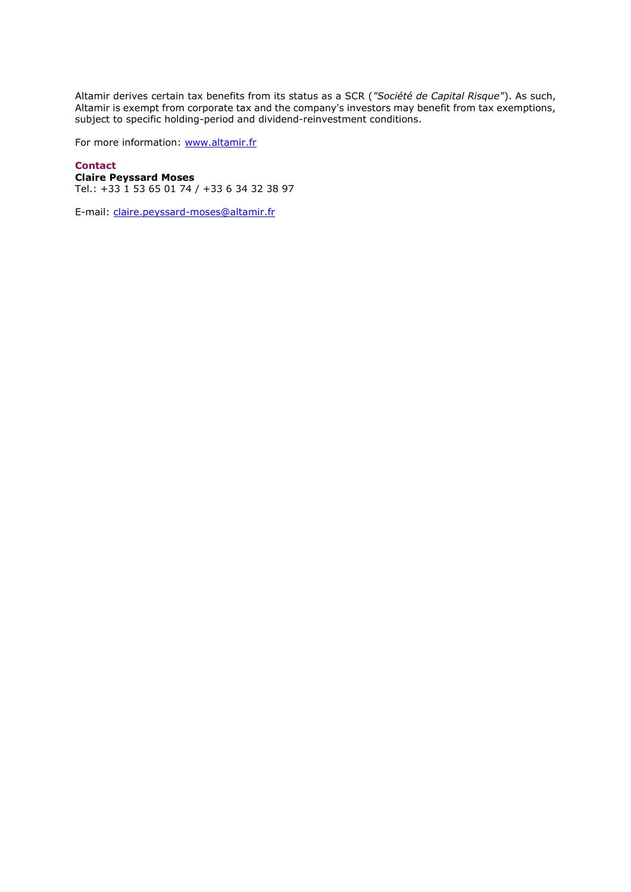Altamir derives certain tax benefits from its status as a SCR (*"Société de Capital Risque"*). As such, Altamir is exempt from corporate tax and the company's investors may benefit from tax exemptions, subject to specific holding-period and dividend-reinvestment conditions.

For more information: [www.altamir.fr](http://www.altamir.fr/)

## **Contact**

**Claire Peyssard Moses** Tel.: +33 1 53 65 01 74 / +33 6 34 32 38 97

E-mail: [claire.peyssard-moses@altamir.fr](mailto:claire.peyssard-moses@altamir.fr)